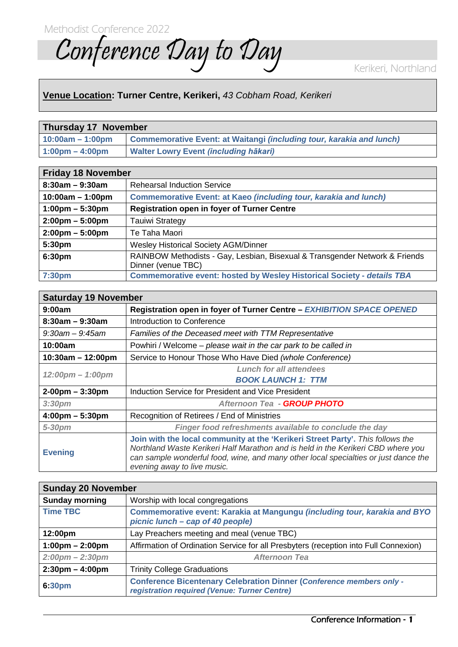Conference Day to Day

## **Venue Location: Turner Centre, Kerikeri,** *43 Cobham Road, Kerikeri*

| <b>Thursday 17 November</b>       |                                                                             |  |
|-----------------------------------|-----------------------------------------------------------------------------|--|
| $10:00am - 1:00pm$                | Commemorative Event: at Waitangi <i>(including tour, karakia and lunch)</i> |  |
| $1:00 \text{pm} - 4:00 \text{pm}$ | <b>Nalter Lowry Event (including hākari)</b>                                |  |

| <b>Friday 18 November</b>         |                                                                                                   |
|-----------------------------------|---------------------------------------------------------------------------------------------------|
| $8:30am - 9:30am$                 | <b>Rehearsal Induction Service</b>                                                                |
| $10:00am - 1:00pm$                | <b>Commemorative Event: at Kaeo (including tour, karakia and lunch)</b>                           |
| $1:00 \text{pm} - 5:30 \text{pm}$ | <b>Registration open in foyer of Turner Centre</b>                                                |
| $2:00 \text{pm} - 5:00 \text{pm}$ | <b>Tauiwi Strategy</b>                                                                            |
| $2:00 \text{pm} - 5:00 \text{pm}$ | Te Taha Maori                                                                                     |
| 5:30pm                            | Wesley Historical Society AGM/Dinner                                                              |
| 6:30pm                            | RAINBOW Methodists - Gay, Lesbian, Bisexual & Transgender Network & Friends<br>Dinner (venue TBC) |
| 7:30pm                            | <b>Commemorative event: hosted by Wesley Historical Society - details TBA</b>                     |

| <b>Saturday 19 November</b>        |                                                                                                                                                                                                                                                                                          |
|------------------------------------|------------------------------------------------------------------------------------------------------------------------------------------------------------------------------------------------------------------------------------------------------------------------------------------|
| 9:00am                             | Registration open in foyer of Turner Centre - EXHIBITION SPACE OPENED                                                                                                                                                                                                                    |
| $8:30$ am – 9:30am                 | Introduction to Conference                                                                                                                                                                                                                                                               |
| $9:30$ am — $9:45$ am              | Families of the Deceased meet with TTM Representative                                                                                                                                                                                                                                    |
| 10:00am                            | Powhiri / Welcome – please wait in the car park to be called in                                                                                                                                                                                                                          |
| $10:30am - 12:00pm$                | Service to Honour Those Who Have Died (whole Conference)                                                                                                                                                                                                                                 |
| $12:00 \text{pm} - 1:00 \text{pm}$ | <b>Lunch for all attendees</b>                                                                                                                                                                                                                                                           |
|                                    | <b>BOOK LAUNCH 1: TTM</b>                                                                                                                                                                                                                                                                |
| $2-00$ pm $-3:30$ pm               | Induction Service for President and Vice President                                                                                                                                                                                                                                       |
| 3:30 <sub>pm</sub>                 | Afternoon Tea - GROUP PHOTO                                                                                                                                                                                                                                                              |
| $4:00 \text{pm} - 5:30 \text{pm}$  | Recognition of Retirees / End of Ministries                                                                                                                                                                                                                                              |
| $5 - 30$ pm                        | Finger food refreshments available to conclude the day                                                                                                                                                                                                                                   |
| <b>Evening</b>                     | Join with the local community at the 'Kerikeri Street Party'. This follows the<br>Northland Waste Kerikeri Half Marathon and is held in the Kerikeri CBD where you<br>can sample wonderful food, wine, and many other local specialties or just dance the<br>evening away to live music. |

| <b>Sunday 20 November</b>         |                                                                                                                             |
|-----------------------------------|-----------------------------------------------------------------------------------------------------------------------------|
| <b>Sunday morning</b>             | Worship with local congregations                                                                                            |
| <b>Time TBC</b>                   | Commemorative event: Karakia at Mangungu (including tour, karakia and BYO<br>picnic lunch – cap of 40 people)               |
| 12:00pm                           | Lay Preachers meeting and meal (venue TBC)                                                                                  |
| $1:00 \text{pm} - 2:00 \text{pm}$ | Affirmation of Ordination Service for all Presbyters (reception into Full Connexion)                                        |
| $2:00 \text{pm} - 2:30 \text{pm}$ | <b>Afternoon Tea</b>                                                                                                        |
| $2:30 \text{pm} - 4:00 \text{pm}$ | <b>Trinity College Graduations</b>                                                                                          |
| 6:30pm                            | <b>Conference Bicentenary Celebration Dinner (Conference members only -</b><br>registration required (Venue: Turner Centre) |